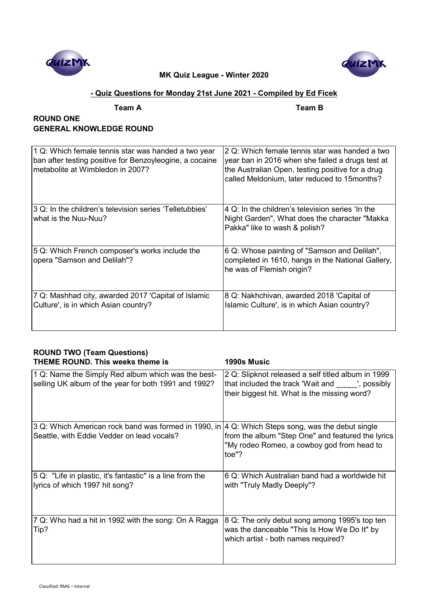



## **- Quiz Questions for Monday 21st June 2021 - Compiled by Ed Ficek**

**Team A Team B**

### **ROUND ONE GENERAL KNOWLEDGE ROUND**

| 1 Q: Which female tennis star was handed a two year<br>ban after testing positive for Benzoyleogine, a cocaine<br>metabolite at Wimbledon in 2007? | 2 Q: Which female tennis star was handed a two<br>year ban in 2016 when she failed a drugs test at<br>the Australian Open, testing positive for a drug<br>called Meldonium, later reduced to 15 months? |
|----------------------------------------------------------------------------------------------------------------------------------------------------|---------------------------------------------------------------------------------------------------------------------------------------------------------------------------------------------------------|
| 3 Q: In the children's television series 'Telletubbies'<br>what is the Nuu-Nuu?                                                                    | 4 Q: In the children's television series 'In the<br>Night Garden", What does the character "Makka<br>Pakka" like to wash & polish?                                                                      |
| 5 Q: Which French composer's works include the<br>opera "Samson and Delilah"?                                                                      | 6 Q: Whose painting of "Samson and Delilah",<br>completed in 1610, hangs in the National Gallery,<br>he was of Flemish origin?                                                                          |
| 7 Q: Mashhad city, awarded 2017 'Capital of Islamic<br>Culture', is in which Asian country?                                                        | 8 Q: Nakhchivan, awarded 2018 'Capital of<br>Islamic Culture', is in which Asian country?                                                                                                               |

| <b>ROUND TWO (Team Questions)</b>                                                                                                                          |                                                                                                                                                     |
|------------------------------------------------------------------------------------------------------------------------------------------------------------|-----------------------------------------------------------------------------------------------------------------------------------------------------|
| <b>THEME ROUND. This weeks theme is</b>                                                                                                                    | <b>1990s Music</b>                                                                                                                                  |
| 1 Q: Name the Simply Red album which was the best-<br>selling UK album of the year for both 1991 and 1992?                                                 | 2 Q: Slipknot released a self titled album in 1999<br>that included the track 'Wait and ', possibly<br>their biggest hit. What is the missing word? |
| 3 Q: Which American rock band was formed in 1990, in $ 4 \text{ Q}$ : Which Steps song, was the debut single<br>Seattle, with Eddie Vedder on lead vocals? | from the album "Step One" and featured the lyrics<br>"My rodeo Romeo, a cowboy god from head to<br>toe"?                                            |
| 5 Q: "Life in plastic, it's fantastic" is a line from the<br>lyrics of which 1997 hit song?                                                                | 6 Q: Which Australian band had a worldwide hit<br>with "Truly Madly Deeply"?                                                                        |
| 7 Q: Who had a hit in 1992 with the song: On A Ragga<br>Tip?                                                                                               | 8 Q: The only debut song among 1995's top ten<br>was the danceable "This Is How We Do It" by<br>which artist - both names required?                 |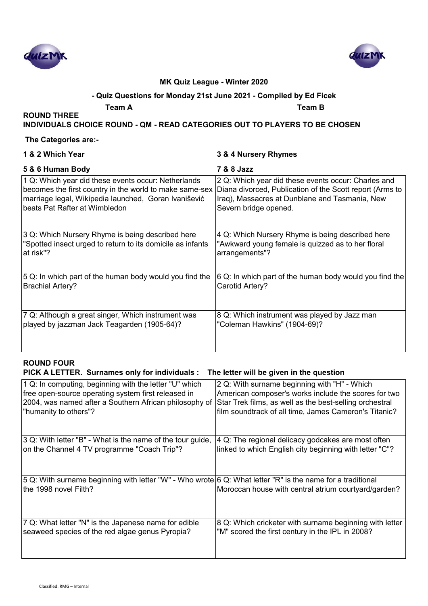



#### **- Quiz Questions for Monday 21st June 2021 - Compiled by Ed Ficek**

**Team A Team B**

### **INDIVIDUALS CHOICE ROUND - QM - READ CATEGORIES OUT TO PLAYERS TO BE CHOSEN**

#### **The Categories are:-**

**ROUND THREE** 

| 1 & 2 Which Year                                           | 3 & 4 Nursery Rhymes                                     |
|------------------------------------------------------------|----------------------------------------------------------|
| 5 & 6 Human Body                                           | 7 & 8 Jazz                                               |
| 1 Q: Which year did these events occur: Netherlands        | 2 Q: Which year did these events occur: Charles and      |
| becomes the first country in the world to make same-sex    | Diana divorced, Publication of the Scott report (Arms to |
| marriage legal, Wikipedia launched, Goran Ivanišević       | Iraq), Massacres at Dunblane and Tasmania, New           |
| beats Pat Rafter at Wimbledon                              | Severn bridge opened.                                    |
| 3 Q: Which Nursery Rhyme is being described here           | 4 Q: Which Nursery Rhyme is being described here         |
| "Spotted insect urged to return to its domicile as infants | "Awkward young female is quizzed as to her floral        |
| at risk"?                                                  | arrangements"?                                           |
| 5 Q: In which part of the human body would you find the    | 6 Q: In which part of the human body would you find the  |
| <b>Brachial Artery?</b>                                    | Carotid Artery?                                          |
| 7 Q: Although a great singer, Which instrument was         | 8 Q: Which instrument was played by Jazz man             |
| played by jazzman Jack Teagarden (1905-64)?                | "Coleman Hawkins" (1904-69)?                             |

## **ROUND FOUR**

#### **PICK A LETTER. Surnames only for individuals : The letter will be given in the question**

| 1 Q: In computing, beginning with the letter "U" which                                                                              | 2 Q: With surname beginning with "H" - Which            |
|-------------------------------------------------------------------------------------------------------------------------------------|---------------------------------------------------------|
| free open-source operating system first released in                                                                                 | American composer's works include the scores for two    |
| 2004, was named after a Southern African philosophy of                                                                              | Star Trek films, as well as the best-selling orchestral |
| "humanity to others"?                                                                                                               | film soundtrack of all time, James Cameron's Titanic?   |
| 3 Q: With letter "B" - What is the name of the tour guide,                                                                          | 4 Q: The regional delicacy godcakes are most often      |
| on the Channel 4 TV programme "Coach Trip"?                                                                                         | linked to which English city beginning with letter "C"? |
| 5 Q: With surname beginning with letter "W" - Who wrote 6 Q: What letter "R" is the name for a traditional<br>the 1998 novel Filth? | Moroccan house with central atrium courtyard/garden?    |
| 7 Q: What letter "N" is the Japanese name for edible                                                                                | 8 Q: Which cricketer with surname beginning with letter |
| seaweed species of the red algae genus Pyropia?                                                                                     | "M" scored the first century in the IPL in 2008?        |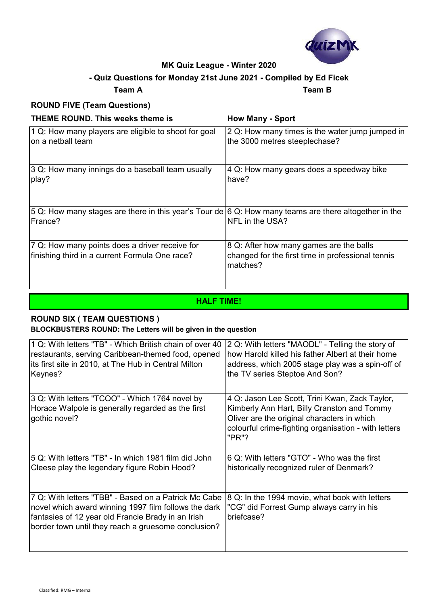

### **- Quiz Questions for Monday 21st June 2021 - Compiled by Ed Ficek**

**Team A Team B**

#### **ROUND FIVE (Team Questions)**

**THEME ROUND. This weeks theme is <b>How Many - Sport** 1 Q: How many players are eligible to shoot for goal on a netball team 2 Q: How many times is the water jump jumped in the 3000 metres steeplechase? 3 Q: How many innings do a baseball team usually play? 4 Q: How many gears does a speedway bike have? 5 Q: How many stages are there in this year's Tour de 6 Q: How many teams are there altogether in the France? NFL in the USA? 7 Q: How many points does a driver receive for finishing third in a current Formula One race? 8 Q: After how many games are the balls changed for the first time in professional tennis matches? **HALF TIME!**

#### **ROUND SIX ( TEAM QUESTIONS ) BLOCKBUSTERS ROUND: The Letters will be given in the question**

| 1 Q: With letters "TB" - Which British chain of over 40                                                                                                                                                                   | 2 Q: With letters "MAODL" - Telling the story of                                                                                                                                                              |
|---------------------------------------------------------------------------------------------------------------------------------------------------------------------------------------------------------------------------|---------------------------------------------------------------------------------------------------------------------------------------------------------------------------------------------------------------|
| restaurants, serving Caribbean-themed food, opened                                                                                                                                                                        | how Harold killed his father Albert at their home                                                                                                                                                             |
| its first site in 2010, at The Hub in Central Milton                                                                                                                                                                      | address, which 2005 stage play was a spin-off of                                                                                                                                                              |
| Keynes?                                                                                                                                                                                                                   | the TV series Steptoe And Son?                                                                                                                                                                                |
| 3 Q: With letters "TCOO" - Which 1764 novel by<br>Horace Walpole is generally regarded as the first<br>gothic novel?                                                                                                      | 4 Q: Jason Lee Scott, Trini Kwan, Zack Taylor,<br>Kimberly Ann Hart, Billy Cranston and Tommy<br>Oliver are the original characters in which<br>colourful crime-fighting organisation - with letters<br>"PR"? |
| 5 Q: With letters "TB" - In which 1981 film did John                                                                                                                                                                      | 6 Q: With letters "GTO" - Who was the first                                                                                                                                                                   |
| Cleese play the legendary figure Robin Hood?                                                                                                                                                                              | historically recognized ruler of Denmark?                                                                                                                                                                     |
| 7 Q: With letters "TBB" - Based on a Patrick Mc Cabe<br>novel which award winning 1997 film follows the dark<br>fantasies of 12 year old Francie Brady in an Irish<br>border town until they reach a gruesome conclusion? | 8 Q: In the 1994 movie, what book with letters<br>"CG" did Forrest Gump always carry in his<br>briefcase?                                                                                                     |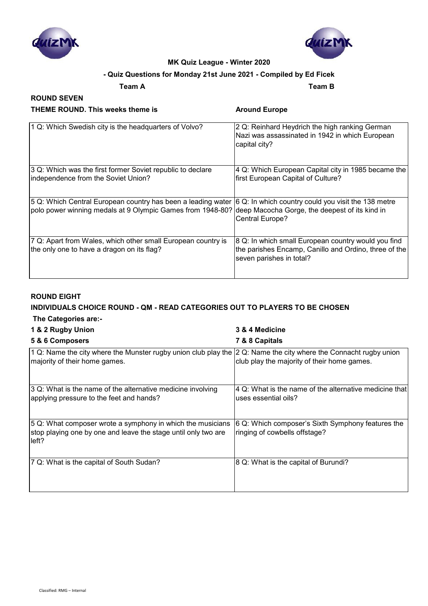



#### **- Quiz Questions for Monday 21st June 2021 - Compiled by Ed Ficek**

**Team A Team B**

### **ROUND SEVEN THEME ROUND. This weeks theme is Around Europe**

| 1 Q: Which Swedish city is the headquarters of Volvo?                                                                      | 2 Q: Reinhard Heydrich the high ranking German<br>Nazi was assassinated in 1942 in which European<br>capital city?                       |
|----------------------------------------------------------------------------------------------------------------------------|------------------------------------------------------------------------------------------------------------------------------------------|
| 3 Q: Which was the first former Soviet republic to declare<br>independence from the Soviet Union?                          | 4 Q: Which European Capital city in 1985 became the<br>first European Capital of Culture?                                                |
| 5 Q: Which Central European country has been a leading water<br>polo power winning medals at 9 Olympic Games from 1948-80? | 6 Q: In which country could you visit the 138 metre<br>deep Macocha Gorge, the deepest of its kind in<br>Central Europe?                 |
| 7 Q: Apart from Wales, which other small European country is<br>the only one to have a dragon on its flag?                 | 8 Q: In which small European country would you find<br>the parishes Encamp, Canillo and Ordino, three of the<br>seven parishes in total? |

### **ROUND EIGHT**

### **INDIVIDUALS CHOICE ROUND - QM - READ CATEGORIES OUT TO PLAYERS TO BE CHOSEN**

 **The Categories are:-**

| 1 & 2 Rugby Union | 3 & 4 Medicine      |
|-------------------|---------------------|
| E 9 C Campanana   | <b>790 Conitala</b> |

| 5 & 6 Composers                                                                                                                       | 7 & 8 Capitals                                                                                   |
|---------------------------------------------------------------------------------------------------------------------------------------|--------------------------------------------------------------------------------------------------|
| 1 Q: Name the city where the Munster rugby union club play the<br>majority of their home games.                                       | 2 Q: Name the city where the Connacht rugby union<br>club play the majority of their home games. |
| 3 Q: What is the name of the alternative medicine involving<br>applying pressure to the feet and hands?                               | 4 Q: What is the name of the alternative medicine that<br>uses essential oils?                   |
| 5 Q: What composer wrote a symphony in which the musicians<br>stop playing one by one and leave the stage until only two are<br>left? | 6 Q: Which composer's Sixth Symphony features the<br>ringing of cowbells offstage?               |
| 7 Q: What is the capital of South Sudan?                                                                                              | 8 Q: What is the capital of Burundi?                                                             |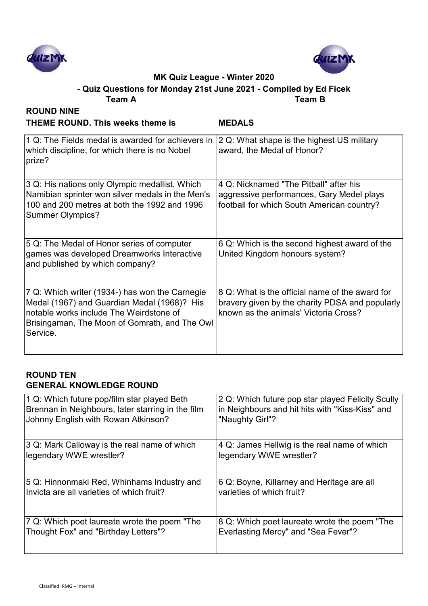



**Team A Team B - Quiz Questions for Monday 21st June 2021 - Compiled by Ed Ficek**

| <b>ROUND NINE</b>                                                                                                                                                                                     |                                                                                                                                             |
|-------------------------------------------------------------------------------------------------------------------------------------------------------------------------------------------------------|---------------------------------------------------------------------------------------------------------------------------------------------|
| <b>THEME ROUND. This weeks theme is</b>                                                                                                                                                               | <b>MEDALS</b>                                                                                                                               |
| 1 Q: The Fields medal is awarded for achievers in<br>which discipline, for which there is no Nobel<br>prize?                                                                                          | 2 Q: What shape is the highest US military<br>award, the Medal of Honor?                                                                    |
| 3 Q: His nations only Olympic medallist. Which<br>Namibian sprinter won silver medals in the Men's<br>100 and 200 metres at both the 1992 and 1996<br><b>Summer Olympics?</b>                         | 4 Q: Nicknamed "The Pitball" after his<br>aggressive performances, Gary Medel plays<br>football for which South American country?           |
| 5 Q: The Medal of Honor series of computer<br>games was developed Dreamworks Interactive<br>and published by which company?                                                                           | 6 Q: Which is the second highest award of the<br>United Kingdom honours system?                                                             |
| 7 Q: Which writer (1934-) has won the Carnegie<br>Medal (1967) and Guardian Medal (1968)? His<br>notable works include The Weirdstone of<br>Brisingaman, The Moon of Gomrath, and The Owl<br>Service. | 8 Q: What is the official name of the award for<br>bravery given by the charity PDSA and popularly<br>known as the animals' Victoria Cross? |

### **ROUND TEN GENERAL KNOWLEDGE ROUND**

| 1 Q: Which future pop/film star played Beth       | 2 Q: Which future pop star played Felicity Scully |
|---------------------------------------------------|---------------------------------------------------|
| Brennan in Neighbours, later starring in the film | in Neighbours and hit hits with "Kiss-Kiss" and   |
| Johnny English with Rowan Atkinson?               | "Naughty Girl"?                                   |
| 3 Q: Mark Calloway is the real name of which      | 4 Q: James Hellwig is the real name of which      |
| legendary WWE wrestler?                           | legendary WWE wrestler?                           |
| 5 Q: Hinnonmaki Red, Whinhams Industry and        | 6 Q: Boyne, Killarney and Heritage are all        |
| Invicta are all varieties of which fruit?         | varieties of which fruit?                         |
| 7 Q: Which poet laureate wrote the poem "The      | 8 Q: Which poet laureate wrote the poem "The      |
| Thought Fox" and "Birthday Letters"?              | Everlasting Mercy" and "Sea Fever"?               |